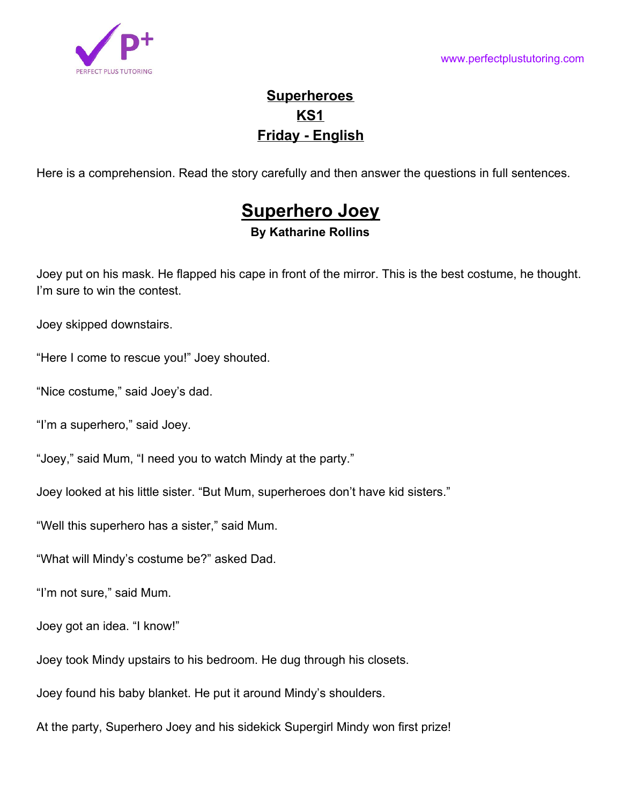

# **Superheroes KS1 Friday - English**

Here is a comprehension. Read the story carefully and then answer the questions in full sentences.

# **Superhero Joey**

# **By Katharine Rollins**

Joey put on his mask. He flapped his cape in front of the mirror. This is the best costume, he thought. I'm sure to win the contest.

Joey skipped downstairs.

"Here I come to rescue you!" Joey shouted.

"Nice costume," said Joey's dad.

"I'm a superhero," said Joey.

"Joey," said Mum, "I need you to watch Mindy at the party."

Joey looked at his little sister. "But Mum, superheroes don't have kid sisters."

"Well this superhero has a sister," said Mum.

"What will Mindy's costume be?" asked Dad.

"I'm not sure," said Mum.

Joey got an idea. "I know!"

Joey took Mindy upstairs to his bedroom. He dug through his closets.

Joey found his baby blanket. He put it around Mindy's shoulders.

At the party, Superhero Joey and his sidekick Supergirl Mindy won first prize!